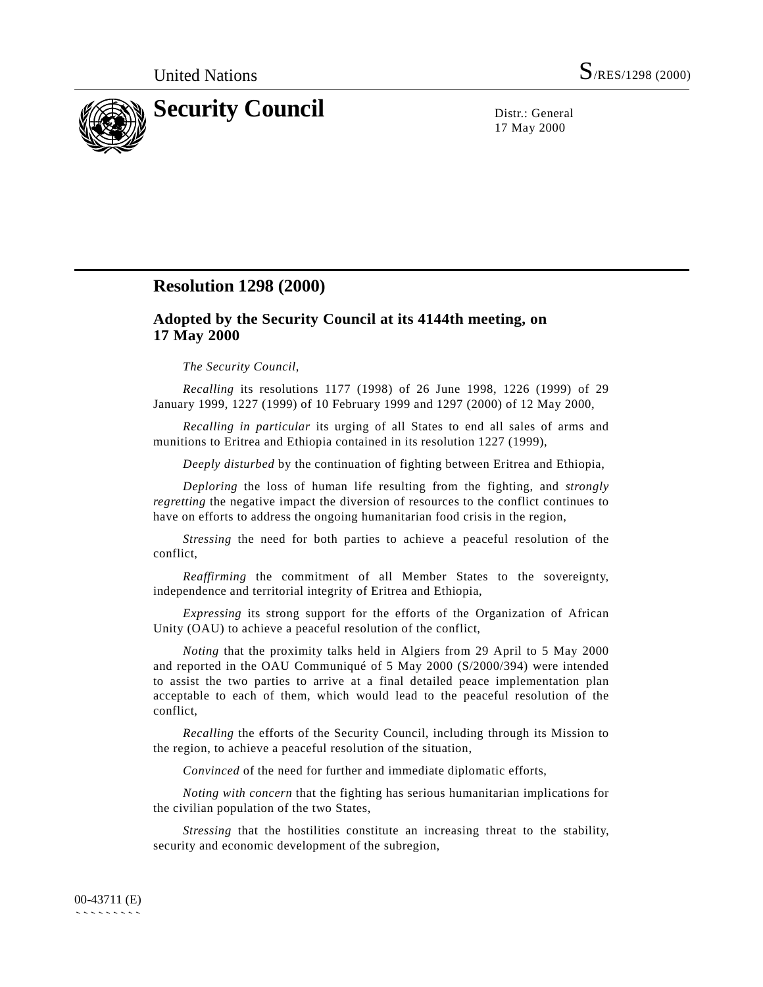

17 May 2000

## **Resolution 1298 (2000)**

## **Adopted by the Security Council at its 4144th meeting, on 17 May 2000**

## *The Security Council*,

*Recalling* its resolutions 1177 (1998) of 26 June 1998, 1226 (1999) of 29 January 1999, 1227 (1999) of 10 February 1999 and 1297 (2000) of 12 May 2000,

*Recalling in particular* its urging of all States to end all sales of arms and munitions to Eritrea and Ethiopia contained in its resolution 1227 (1999),

*Deeply disturbed* by the continuation of fighting between Eritrea and Ethiopia,

*Deploring* the loss of human life resulting from the fighting, and *strongly regretting* the negative impact the diversion of resources to the conflict continues to have on efforts to address the ongoing humanitarian food crisis in the region,

*Stressing* the need for both parties to achieve a peaceful resolution of the conflict,

*Reaffirming* the commitment of all Member States to the sovereignty, independence and territorial integrity of Eritrea and Ethiopia,

*Expressing* its strong support for the efforts of the Organization of African Unity (OAU) to achieve a peaceful resolution of the conflict,

*Noting* that the proximity talks held in Algiers from 29 April to 5 May 2000 and reported in the OAU Communiqué of 5 May 2000 (S/2000/394) were intended to assist the two parties to arrive at a final detailed peace implementation plan acceptable to each of them, which would lead to the peaceful resolution of the conflict,

*Recalling* the efforts of the Security Council, including through its Mission to the region, to achieve a peaceful resolution of the situation,

*Convinced* of the need for further and immediate diplomatic efforts,

*Noting with concern* that the fighting has serious humanitarian implications for the civilian population of the two States,

*Stressing* that the hostilities constitute an increasing threat to the stability, security and economic development of the subregion,

## 00-43711 (E) ```````````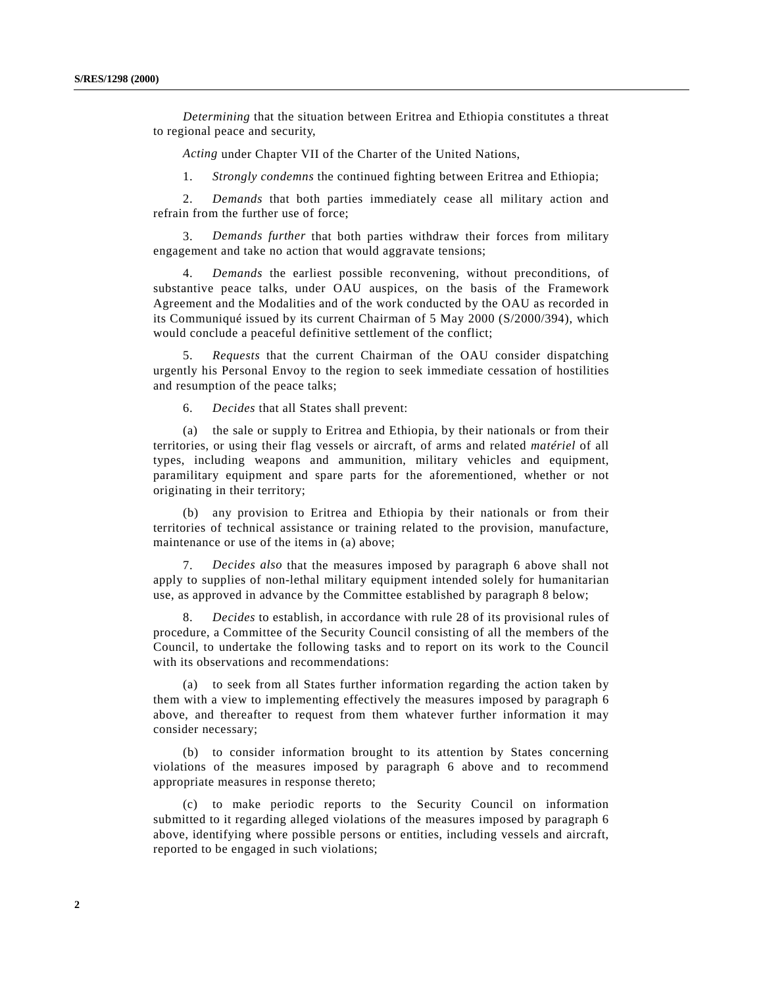*Determining* that the situation between Eritrea and Ethiopia constitutes a threat to regional peace and security,

*Acting* under Chapter VII of the Charter of the United Nations,

1. *Strongly condemns* the continued fighting between Eritrea and Ethiopia;

2. *Demands* that both parties immediately cease all military action and refrain from the further use of force;

3. *Demands further* that both parties withdraw their forces from military engagement and take no action that would aggravate tensions;

4. *Demands* the earliest possible reconvening, without preconditions, of substantive peace talks, under OAU auspices, on the basis of the Framework Agreement and the Modalities and of the work conducted by the OAU as recorded in its Communiqué issued by its current Chairman of 5 May 2000 (S/2000/394), which would conclude a peaceful definitive settlement of the conflict;

5. *Requests* that the current Chairman of the OAU consider dispatching urgently his Personal Envoy to the region to seek immediate cessation of hostilities and resumption of the peace talks;

6. *Decides* that all States shall prevent:

(a) the sale or supply to Eritrea and Ethiopia, by their nationals or from their territories, or using their flag vessels or aircraft, of arms and related *matériel* of all types, including weapons and ammunition, military vehicles and equipment, paramilitary equipment and spare parts for the aforementioned, whether or not originating in their territory;

(b) any provision to Eritrea and Ethiopia by their nationals or from their territories of technical assistance or training related to the provision, manufacture, maintenance or use of the items in (a) above;

7. *Decides also* that the measures imposed by paragraph 6 above shall not apply to supplies of non-lethal military equipment intended solely for humanitarian use, as approved in advance by the Committee established by paragraph 8 below;

8. *Decides* to establish, in accordance with rule 28 of its provisional rules of procedure, a Committee of the Security Council consisting of all the members of the Council, to undertake the following tasks and to report on its work to the Council with its observations and recommendations:

(a) to seek from all States further information regarding the action taken by them with a view to implementing effectively the measures imposed by paragraph 6 above, and thereafter to request from them whatever further information it may consider necessary;

(b) to consider information brought to its attention by States concerning violations of the measures imposed by paragraph 6 above and to recommend appropriate measures in response thereto;

(c) to make periodic reports to the Security Council on information submitted to it regarding alleged violations of the measures imposed by paragraph 6 above, identifying where possible persons or entities, including vessels and aircraft, reported to be engaged in such violations;